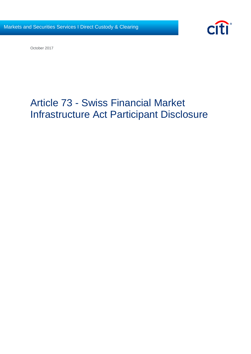

October 2017

# Article 73 - Swiss Financial Market Infrastructure Act Participant Disclosure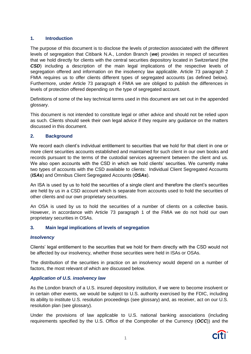# **1. Introduction**

The purpose of this document is to disclose the levels of protection associated with the different levels of segregation that Citibank N.A., London Branch (*we*) provides in respect of securities that we hold directly for clients with the central securities depository located in Switzerland (the *CSD*) including a description of the main legal implications of the respective levels of segregation offered and information on the insolvency law applicable. Article 73 paragraph 2 FMIA requires us to offer clients different types of segregated accounts (as defined below). Furthermore, under Article 73 paragraph 4 FMIA we are obliged to publish the differences in levels of protection offered depending on the type of segregated account.

Definitions of some of the key technical terms used in this document are set out in the appended glossary.

This document is not intended to constitute legal or other advice and should not be relied upon as such. Clients should seek their own legal advice if they require any guidance on the matters discussed in this document.

## **2. Background**

We record each client's individual entitlement to securities that we hold for that client in one or more client securities accounts established and maintained for such client in our own books and records pursuant to the terms of the custodial services agreement between the client and us. We also open accounts with the CSD in which we hold clients' securities. We currently make two types of accounts with the CSD available to clients: Individual Client Segregated Accounts (*ISAs*) and Omnibus Client Segregated Accounts (*OSAs*).

An ISA is used by us to hold the securities of a single client and therefore the client's securities are held by us in a CSD account which is separate from accounts used to hold the securities of other clients and our own proprietary securities.

An OSA is used by us to hold the securities of a number of clients on a collective basis. However, in accordance with Article 73 paragraph 1 of the FMIA we do not hold our own proprietary securities in OSAs.

## **3. Main legal implications of levels of segregation**

## *Insolvency*

Clients' legal entitlement to the securities that we hold for them directly with the CSD would not be affected by our insolvency, whether those securities were held in ISAs or OSAs.

The distribution of the securities in practice on an insolvency would depend on a number of factors, the most relevant of which are discussed below.

## *Application of U.S. insolvency law*

As the London branch of a U.S. insured depository institution, if we were to become insolvent or in certain other events, we would be subject to U.S. authority exercised by the FDIC, including its ability to institute U.S. resolution proceedings (see glossary) and, as receiver, act on our U.S. resolution plan (see glossary).

Under the provisions of law applicable to U.S. national banking associations (including requirements specified by the U.S. Office of the Comptroller of the Currency (*OCC*)) and the

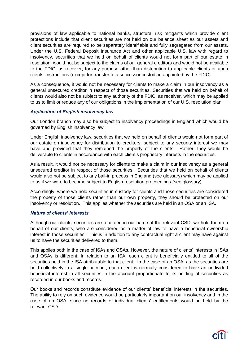provisions of law applicable to national banks, structural risk mitigants which provide client protections include that client securities are not held on our balance sheet as our assets and client securities are required to be separately identifiable and fully segregated from our assets. Under the U.S. Federal Deposit Insurance Act and other applicable U.S. law with regard to insolvency, securities that we held on behalf of clients would not form part of our estate in resolution, would not be subject to the claims of our general creditors and would not be available to the FDIC, as receiver, for any purpose other than distribution to applicable clients or upon clients' instructions (except for transfer to a successor custodian appointed by the FDIC).

As a consequence, it would not be necessary for clients to make a claim in our insolvency as a general unsecured creditor in respect of those securities. Securities that we held on behalf of clients would also not be subject to any authority of the FDIC, as receiver, which may be applied to us to limit or reduce any of our obligations in the implementation of our U.S. resolution plan.

## *Application of English insolvency law*

Our London branch may also be subject to insolvency proceedings in England which would be governed by English insolvency law.

Under English insolvency law, securities that we held on behalf of clients would not form part of our estate on insolvency for distribution to creditors, subject to any security interest we may have and provided that they remained the property of the clients. Rather, they would be deliverable to clients in accordance with each client's proprietary interests in the securities.

As a result, it would not be necessary for clients to make a claim in our insolvency as a general unsecured creditor in respect of those securities. Securities that we held on behalf of clients would also not be subject to any bail-in process in England (see glossary) which may be applied to us if we were to become subject to English resolution proceedings (see glossary).

Accordingly, where we hold securities in custody for clients and those securities are considered the property of those clients rather than our own property, they should be protected on our insolvency or resolution. This applies whether the securities are held in an OSA or an ISA.

### *Nature of clients' interests*

Although our clients' securities are recorded in our name at the relevant CSD, we hold them on behalf of our clients, who are considered as a matter of law to have a beneficial ownership interest in those securities. This is in addition to any contractual right a client may have against us to have the securities delivered to them.

This applies both in the case of ISAs and OSAs. However, the nature of clients' interests in ISAs and OSAs is different. In relation to an ISA, each client is beneficially entitled to all of the securities held in the ISA attributable to that client. In the case of an OSA, as the securities are held collectively in a single account, each client is normally considered to have an undivided beneficial interest in all securities in the account proportionate to its holding of securities as recorded in our books and records.

Our books and records constitute evidence of our clients' beneficial interests in the securities. The ability to rely on such evidence would be particularly important on our insolvency and in the case of an OSA, since no records of individual clients' entitlements would be held by the relevant CSD.

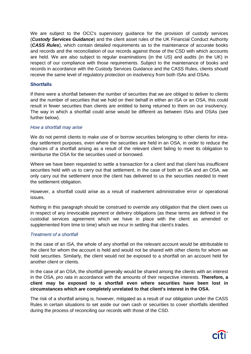We are subject to the OCC's supervisory guidance for the provision of custody services (*Custody Services Guidance*) and the client asset rules of the UK Financial Conduct Authority (*CASS Rules*), which contain detailed requirements as to the maintenance of accurate books and records and the reconciliation of our records against those of the CSD with which accounts are held. We are also subject to regular examinations (in the US) and audits (in the UK) in respect of our compliance with those requirements. Subject to the maintenance of books and records in accordance with the Custody Services Guidance and the CASS Rules, clients should receive the same level of regulatory protection on insolvency from both ISAs and OSAs.

## **Shortfalls**

If there were a shortfall between the number of securities that we are obliged to deliver to clients and the number of securities that we hold on their behalf in either an ISA or an OSA, this could result in fewer securities than clients are entitled to being returned to them on our insolvency. The way in which a shortfall could arise would be different as between ISAs and OSAs (see further below).

### *How a shortfall may arise*

We do not permit clients to make use of or borrow securities belonging to other clients for intraday settlement purposes, even where the securities are held in an OSA, in order to reduce the chances of a shortfall arising as a result of the relevant client failing to meet its obligation to reimburse the OSA for the securities used or borrowed.

Where we have been requested to settle a transaction for a client and that client has insufficient securities held with us to carry out that settlement, in the case of both an ISA and an OSA, we only carry out the settlement once the client has delivered to us the securities needed to meet the settlement obligation.

However, a shortfall could arise as a result of inadvertent administrative error or operational issues.

Nothing in this paragraph should be construed to override any obligation that the client owes us in respect of any irrevocable payment or delivery obligations (as these terms are defined in the custodial services agreement which we have in place with the client as amended or supplemented from time to time) which we incur in settling that client's trades.

### *Treatment of a shortfall*

In the case of an ISA, the whole of any shortfall on the relevant account would be attributable to the client for whom the account is held and would not be shared with other clients for whom we hold securities. Similarly, the client would not be exposed to a shortfall on an account held for another client or clients.

In the case of an OSA, the shortfall generally would be shared among the clients with an interest in the OSA, *pro rata* in accordance with the amounts of their respective interests. **Therefore, a client may be exposed to a shortfall even where securities have been lost in circumstances which are completely unrelated to that client's interest in the OSA**.

The risk of a shortfall arising is, however, mitigated as a result of our obligation under the CASS Rules in certain situations to set aside our own cash or securities to cover shortfalls identified during the process of reconciling our records with those of the CSD.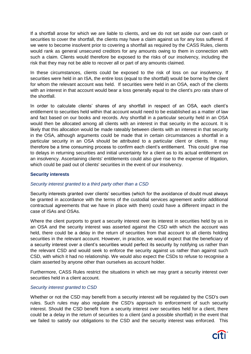If a shortfall arose for which we are liable to clients, and we do not set aside our own cash or securities to cover the shortfall, the clients may have a claim against us for any loss suffered. If we were to become insolvent prior to covering a shortfall as required by the CASS Rules, clients would rank as general unsecured creditors for any amounts owing to them in connection with such a claim. Clients would therefore be exposed to the risks of our insolvency, including the risk that they may not be able to recover all or part of any amounts claimed.

In these circumstances, clients could be exposed to the risk of loss on our insolvency. If securities were held in an ISA, the entire loss (equal to the shortfall) would be borne by the client for whom the relevant account was held. If securities were held in an OSA, each of the clients with an interest in that account would bear a loss generally equal to the client's *pro rata* share of the shortfall.

In order to calculate clients' shares of any shortfall in respect of an OSA, each client's entitlement to securities held within that account would need to be established as a matter of law and fact based on our books and records. Any shortfall in a particular security held in an OSA would then be allocated among all clients with an interest in that security in the account. It is likely that this allocation would be made rateably between clients with an interest in that security in the OSA, although arguments could be made that in certain circumstances a shortfall in a particular security in an OSA should be attributed to a particular client or clients. It may therefore be a time consuming process to confirm each client's entitlement. This could give rise to delays in returning securities and initial uncertainty for a client as to its actual entitlement on an insolvency. Ascertaining clients' entitlements could also give rise to the expense of litigation, which could be paid out of clients' securities in the event of our insolvency.

### **Security interests**

### *Security interest granted to a third party other than a CSD*

Security interests granted over clients' securities (which for the avoidance of doubt must always be granted in accordance with the terms of the custodial services agreement and/or additional contractual agreements that we have in place with them) could have a different impact in the case of ISAs and OSAs.

Where the client purports to grant a security interest over its interest in securities held by us in an OSA and the security interest was asserted against the CSD with which the account was held, there could be a delay in the return of securities from that account to all clients holding securities in the relevant account. However, in practice, we would expect that the beneficiary of a security interest over a client's securities would perfect its security by notifying us rather than the relevant CSD and would seek to enforce the security against us rather than against such CSD, with which it had no relationship. We would also expect the CSDs to refuse to recognise a claim asserted by anyone other than ourselves as account holder.

Furthermore, CASS Rules restrict the situations in which we may grant a security interest over securities held in a client account.

### *Security interest granted to CSD*

Whether or not the CSD may benefit from a security interest will be regulated by the CSD's own rules. Such rules may also regulate the CSD's approach to enforcement of such security interest. Should the CSD benefit from a security interest over securities held for a client, there could be a delay in the return of securities to a client (and a possible shortfall) in the event that we failed to satisfy our obligations to the CSD and the security interest was enforced. This

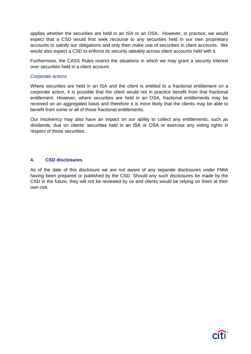applies whether the securities are held in an ISA or an OSA. However, in practice, we would expect that a CSD would first seek recourse to any securities held in our own proprietary accounts to satisfy our obligations and only then make use of securities in client accounts. We would also expect a CSD to enforce its security rateably across client accounts held with it.

Furthermore, the CASS Rules restrict the situations in which we may grant a security interest over securities held in a client account.

#### *Corporate actions*

Where securities are held in an ISA and the client is entitled to a fractional entitlement on a corporate action, it is possible that the client would not in practice benefit from that fractional entitlement. However, where securities are held in an OSA, fractional entitlements may be received on an aggregated basis and therefore it is more likely that the clients may be able to benefit from some or all of those fractional entitlements.

Our insolvency may also have an impact on our ability to collect any entitlements, such as dividends, due on clients' securities held in an ISA or OSA or exercise any voting rights in respect of those securities.

### **4. CSD disclosures**

As of the date of this disclosure we are not aware of any separate disclosures under FMIA having been prepared or published by the CSD. Should any such disclosures be made by the CSD in the future, they will not be reviewed by us and clients would be relying on them at their own risk.

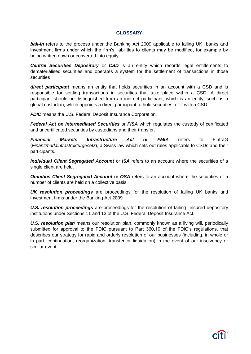#### **GLOSSARY**

**bail-in** refers to the process under the Banking Act 2009 applicable to failing UK banks and investment firms under which the firm's liabilities to clients may be modified, for example by being written down or converted into equity.

**Central Securities Depository** or **CSD** is an entity which records legal entitlements to dematerialised securities and operates a system for the settlement of transactions in those **securities** 

*direct participant* means an entity that holds securities in an account with a CSD and is responsible for settling transactions in securities that take place within a CSD. A direct participant should be distinguished from an indirect participant, which is an entity, such as a global custodian, which appoints a direct participant to hold securities for it with a CSD.

*FDIC* means the U.S. Federal Deposit Insurance Corporation.

*Federal Act on Intermediated Securities* or *FISA* which regulates the custody of certificated and uncertificated securities by custodians and their transfer.

*Financial Markets Infrastructure Act or FMIA* refers to FinfraG (*Finanzmarktinfrastrukturgesetz*), a Swiss law which sets out rules applicable to CSDs and their participants.

*Individual Client Segregated Account* or *ISA* refers to an account where the securities of a single client are held.

*Omnibus Client Segregated Account* or *OSA* refers to an account where the securities of a number of clients are held on a collective basis.

*UK resolution proceedings* are proceedings for the resolution of failing UK banks and investment firms under the Banking Act 2009.

*U.S. resolution proceedings* are proceedings for the resolution of failing insured depository institutions under Sections 11 and 13 of the U.S. Federal Deposit Insurance Act.

*U.S. resolution plan* means our resolution plan, commonly known as a living will, periodically submitted for approval to the FDIC pursuant to Part 360.10 of the FDIC's regulations, that describes our strategy for rapid and orderly resolution of our businesses (including, in whole or in part, continuation, reorganization, transfer or liquidation) in the event of our insolvency or similar event.